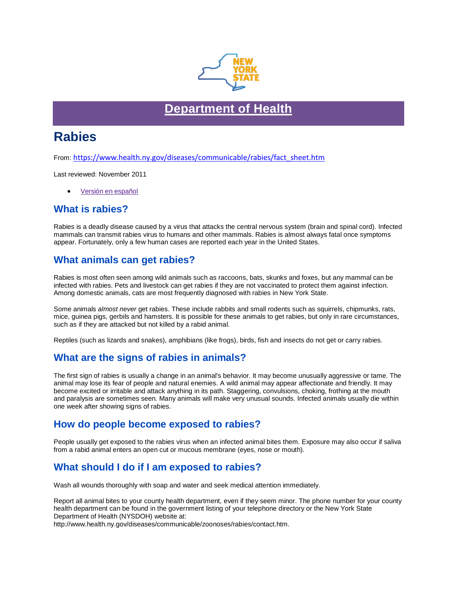

## **[Department of](https://www.health.ny.gov/) Health**

# **Rabies**

From: [https://www.health.ny.gov/diseases/communicable/rabies/fact\\_sheet.htm](https://www.health.ny.gov/diseases/communicable/rabies/fact_sheet.htm)

Last reviewed: November 2011

• [Versión en español](https://www.health.ny.gov/es/diseases/communicable/rabies/fact_sheet.htm)

#### **What is rabies?**

Rabies is a deadly disease caused by a virus that attacks the central nervous system (brain and spinal cord). Infected mammals can transmit rabies virus to humans and other mammals. Rabies is almost always fatal once symptoms appear. Fortunately, only a few human cases are reported each year in the United States.

#### **What animals can get rabies?**

Rabies is most often seen among wild animals such as raccoons, bats, skunks and foxes, but any mammal can be infected with rabies. Pets and livestock can get rabies if they are not vaccinated to protect them against infection. Among domestic animals, cats are most frequently diagnosed with rabies in New York State.

Some animals *almost never* get rabies. These include rabbits and small rodents such as squirrels, chipmunks, rats, mice, guinea pigs, gerbils and hamsters. It is possible for these animals to get rabies, but only in rare circumstances, such as if they are attacked but not killed by a rabid animal.

Reptiles (such as lizards and snakes), amphibians (like frogs), birds, fish and insects do not get or carry rabies.

## **What are the signs of rabies in animals?**

The first sign of rabies is usually a change in an animal's behavior. It may become unusually aggressive or tame. The animal may lose its fear of people and natural enemies. A wild animal may appear affectionate and friendly. It may become excited or irritable and attack anything in its path. Staggering, convulsions, choking, frothing at the mouth and paralysis are sometimes seen. Many animals will make very unusual sounds. Infected animals usually die within one week after showing signs of rabies.

#### **How do people become exposed to rabies?**

People usually get exposed to the rabies virus when an infected animal bites them. Exposure may also occur if saliva from a rabid animal enters an open cut or mucous membrane (eyes, nose or mouth).

## **What should I do if I am exposed to rabies?**

Wash all wounds thoroughly with soap and water and seek medical attention immediately.

Report all animal bites to your county health department, even if they seem minor. The phone number for your county health department can be found in the government listing of your telephone directory or the New York State Department of Health (NYSDOH) website at:

http://www.health.ny.gov/diseases/communicable/zoonoses/rabies/contact.htm.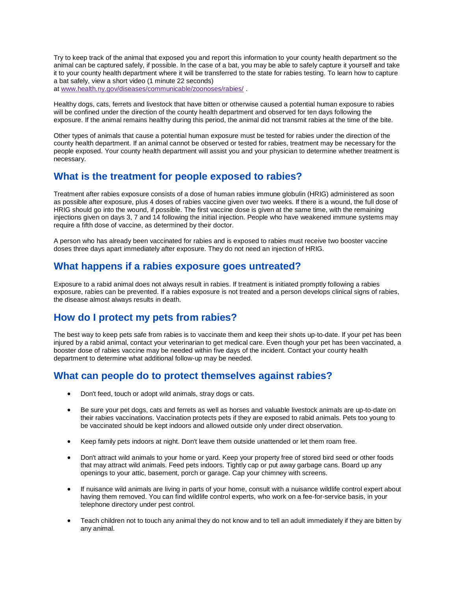Try to keep track of the animal that exposed you and report this information to your county health department so the animal can be captured safely, if possible. In the case of a bat, you may be able to safely capture it yourself and take it to your county health department where it will be transferred to the state for rabies testing. To learn how to capture a bat safely, view a short video (1 minute 22 seconds) at [www.health.ny.gov/diseases/communicable/zoonoses/rabies/](https://www.health.ny.gov/diseases/communicable/zoonoses/rabies/) .

Healthy dogs, cats, ferrets and livestock that have bitten or otherwise caused a potential human exposure to rabies will be confined under the direction of the county health department and observed for ten days following the exposure. If the animal remains healthy during this period, the animal did not transmit rabies at the time of the bite.

Other types of animals that cause a potential human exposure must be tested for rabies under the direction of the county health department. If an animal cannot be observed or tested for rabies, treatment may be necessary for the people exposed. Your county health department will assist you and your physician to determine whether treatment is necessary.

### **What is the treatment for people exposed to rabies?**

Treatment after rabies exposure consists of a dose of human rabies immune globulin (HRIG) administered as soon as possible after exposure, plus 4 doses of rabies vaccine given over two weeks. If there is a wound, the full dose of HRIG should go into the wound, if possible. The first vaccine dose is given at the same time, with the remaining injections given on days 3, 7 and 14 following the initial injection. People who have weakened immune systems may require a fifth dose of vaccine, as determined by their doctor.

A person who has already been vaccinated for rabies and is exposed to rabies must receive two booster vaccine doses three days apart immediately after exposure. They do not need an injection of HRIG.

### **What happens if a rabies exposure goes untreated?**

Exposure to a rabid animal does not always result in rabies. If treatment is initiated promptly following a rabies exposure, rabies can be prevented. If a rabies exposure is not treated and a person develops clinical signs of rabies, the disease almost always results in death.

## **How do I protect my pets from rabies?**

The best way to keep pets safe from rabies is to vaccinate them and keep their shots up-to-date. If your pet has been injured by a rabid animal, contact your veterinarian to get medical care. Even though your pet has been vaccinated, a booster dose of rabies vaccine may be needed within five days of the incident. Contact your county health department to determine what additional follow-up may be needed.

#### **What can people do to protect themselves against rabies?**

- Don't feed, touch or adopt wild animals, stray dogs or cats.
- Be sure your pet dogs, cats and ferrets as well as horses and valuable livestock animals are up-to-date on their rabies vaccinations. Vaccination protects pets if they are exposed to rabid animals. Pets too young to be vaccinated should be kept indoors and allowed outside only under direct observation.
- Keep family pets indoors at night. Don't leave them outside unattended or let them roam free.
- Don't attract wild animals to your home or yard. Keep your property free of stored bird seed or other foods that may attract wild animals. Feed pets indoors. Tightly cap or put away garbage cans. Board up any openings to your attic, basement, porch or garage. Cap your chimney with screens.
- If nuisance wild animals are living in parts of your home, consult with a nuisance wildlife control expert about having them removed. You can find wildlife control experts, who work on a fee-for-service basis, in your telephone directory under pest control.
- Teach children not to touch any animal they do not know and to tell an adult immediately if they are bitten by any animal.